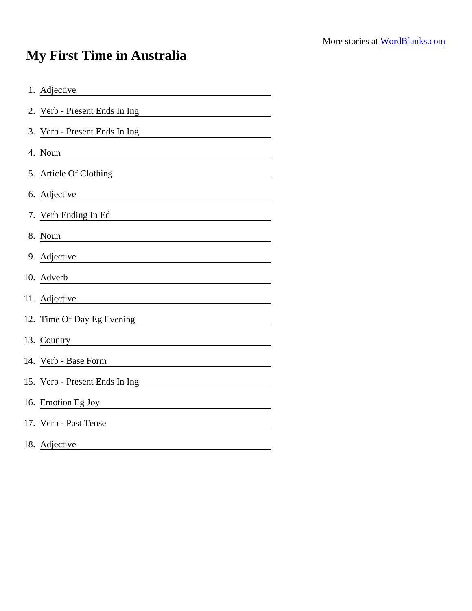## My First Time in Australia

| 1. Adjective                                                                                                                          |
|---------------------------------------------------------------------------------------------------------------------------------------|
| 2. Verb - Present Ends In Ing                                                                                                         |
| 3. Verb - Present Ends In Ing                                                                                                         |
| 4. Noun<br><u> 1989 - Johann Stein, mars an deutscher Stein und der Stein und der Stein und der Stein und der Stein und der</u>       |
| 5. Article Of Clothing                                                                                                                |
| 6. Adjective                                                                                                                          |
| 7. Verb Ending In Ed                                                                                                                  |
| 8. Noun                                                                                                                               |
| 9. Adjective                                                                                                                          |
| 10. Adverb<br><u> 1989 - Johann Stoff, deutscher Stoffen und der Stoffen und der Stoffen und der Stoffen und der Stoffen und der </u> |
| 11. Adjective                                                                                                                         |
| 12. Time Of Day Eg Evening<br><u> 1980 - Johann Barbara, martxa alemaniar a</u>                                                       |
| 13. Country<br><u> 1980 - Jan Barat, martin a</u>                                                                                     |
| 14. Verb - Base Form                                                                                                                  |
| 15. Verb - Present Ends In Ing                                                                                                        |
| 16. Emotion Eg Joy                                                                                                                    |
| 17. Verb - Past Tense                                                                                                                 |
| 18. Adjective                                                                                                                         |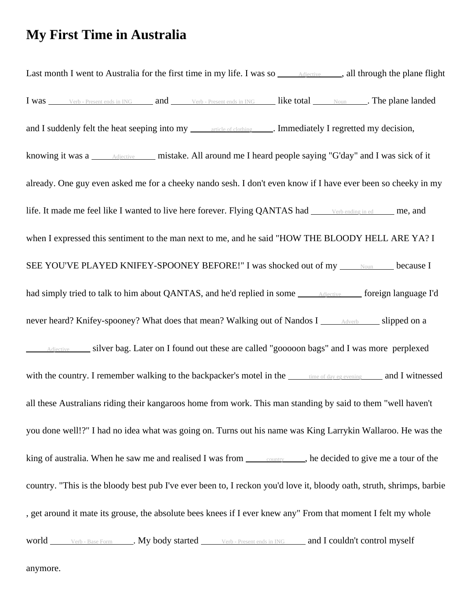## **My First Time in Australia**

Last month I went to Australia for the first time in my life. I was so  $\overrightarrow{A}$  Adjective , all through the plane flight I was verb - Present ends in ING and Verb - Present ends in ING like total Noun . The plane landed and I suddenly felt the heat seeping into my article of clothing . Immediately I regretted my decision, knowing it was a <u>Adjective</u> mistake. All around me I heard people saying "G'day" and I was sick of it already. One guy even asked me for a cheeky nando sesh. I don't even know if I have ever been so cheeky in my life. It made me feel like I wanted to live here forever. Flying QANTAS had verb ending in ed me, and when I expressed this sentiment to the man next to me, and he said "HOW THE BLOODY HELL ARE YA? I SEE YOU'VE PLAYED KNIFEY-SPOONEY BEFORE!" I was shocked out of my Noun because I had simply tried to talk to him about QANTAS, and he'd replied in some **Adjective** foreign language I'd never heard? Knifey-spooney? What does that mean? Walking out of Nandos I Adverb slipped on a Adjective silver bag. Later on I found out these are called "gooooon bags" and I was more perplexed with the country. I remember walking to the backpacker's motel in the time of day eg evening and I witnessed all these Australians riding their kangaroos home from work. This man standing by said to them "well haven't you done well!?" I had no idea what was going on. Turns out his name was King Larrykin Wallaroo. He was the king of australia. When he saw me and realised I was from  $\frac{\text{counter}}{\text{counter}}$ , he decided to give me a tour of the country. "This is the bloody best pub I've ever been to, I reckon you'd love it, bloody oath, struth, shrimps, barbie , get around it mate its grouse, the absolute bees knees if I ever knew any" From that moment I felt my whole world <u>verb - Base Form</u> . My body started <u>verb - Present ends in ING</u> and I couldn't control myself